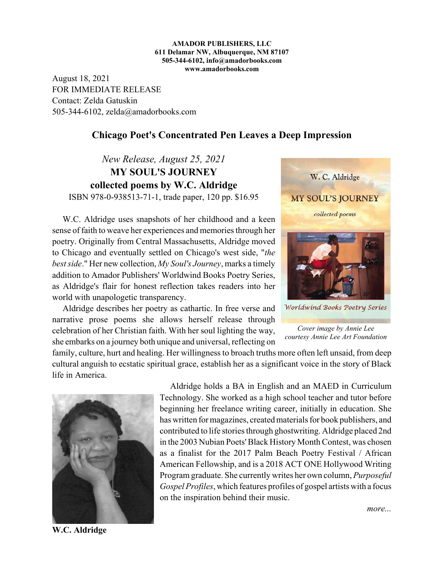## **AMADOR PUBLISHERS, LLC 611 Delamar NW, Albuquerque, NM 87107 505-344-6102, info@amadorbooks.com www.amadorbooks.com**

August 18, 2021 FOR IMMEDIATE RELEASE Contact: Zelda Gatuskin 505-344-6102, zelda@amadorbooks.com

## **Chicago Poet's Concentrated Pen Leaves a Deep Impression**

*New Release, August 25, 2021* **MY SOUL'S JOURNEY collected poems by W.C. Aldridge**

ISBN 978-0-938513-71-1, trade paper, 120 pp. \$16.95

W.C. Aldridge uses snapshots of her childhood and a keen sense of faith to weave her experiences and memories through her poetry. Originally from Central Massachusetts, Aldridge moved to Chicago and eventually settled on Chicago's west side, "*the best side*." Her new collection, *My Soul's Journey*, marks a timely addition to Amador Publishers' Worldwind Books Poetry Series, as Aldridge's flair for honest reflection takes readers into her world with unapologetic transparency.

Aldridge describes her poetry as cathartic. In free verse and narrative prose poems she allows herself release through celebration of her Christian faith. With her soul lighting the way, she embarks on a journey both unique and universal, reflecting on



*Cover image by Annie Lee courtesy Annie Lee Art Foundation*

family, culture, hurt and healing. Her willingness to broach truths more often left unsaid, from deep cultural anguish to ecstatic spiritual grace, establish her as a significant voice in the story of Black life in America.



Aldridge holds a BA in English and an MAED in Curriculum Technology. She worked as a high school teacher and tutor before beginning her freelance writing career, initially in education. She has written for magazines, created materials for book publishers, and contributed to life stories through ghostwriting. Aldridge placed 2nd in the 2003 Nubian Poets' Black History Month Contest, was chosen as a finalist for the 2017 Palm Beach Poetry Festival / African American Fellowship, and is a 2018 ACT ONE Hollywood Writing Program graduate. She currently writes her own column, *Purposeful Gospel Profiles*, which features profiles of gospel artists with a focus on the inspiration behind their music.

**W.C. Aldridge**

*more...*